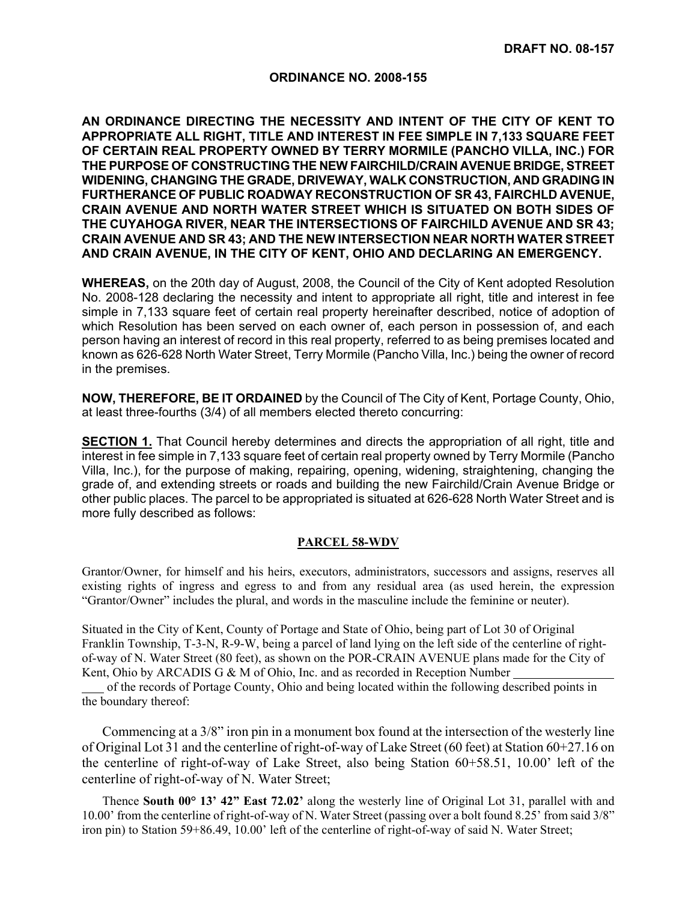## **ORDINANCE NO. 2008-155**

**AN ORDINANCE DIRECTING THE NECESSITY AND INTENT OF THE CITY OF KENT TO APPROPRIATE ALL RIGHT, TITLE AND INTEREST IN FEE SIMPLE IN 7,133 SQUARE FEET OF CERTAIN REAL PROPERTY OWNED BY TERRY MORMILE (PANCHO VILLA, INC.) FOR THE PURPOSE OF CONSTRUCTING THE NEW FAIRCHILD/CRAIN AVENUE BRIDGE, STREET WIDENING, CHANGING THE GRADE, DRIVEWAY, WALK CONSTRUCTION, AND GRADING IN FURTHERANCE OF PUBLIC ROADWAY RECONSTRUCTION OF SR 43, FAIRCHLD AVENUE, CRAIN AVENUE AND NORTH WATER STREET WHICH IS SITUATED ON BOTH SIDES OF THE CUYAHOGA RIVER, NEAR THE INTERSECTIONS OF FAIRCHILD AVENUE AND SR 43; CRAIN AVENUE AND SR 43; AND THE NEW INTERSECTION NEAR NORTH WATER STREET AND CRAIN AVENUE, IN THE CITY OF KENT, OHIO AND DECLARING AN EMERGENCY.** 

**WHEREAS,** on the 20th day of August, 2008, the Council of the City of Kent adopted Resolution No. 2008-128 declaring the necessity and intent to appropriate all right, title and interest in fee simple in 7,133 square feet of certain real property hereinafter described, notice of adoption of which Resolution has been served on each owner of, each person in possession of, and each person having an interest of record in this real property, referred to as being premises located and known as 626-628 North Water Street, Terry Mormile (Pancho Villa, Inc.) being the owner of record in the premises.

**NOW, THEREFORE, BE IT ORDAINED** by the Council of The City of Kent, Portage County, Ohio, at least three-fourths (3/4) of all members elected thereto concurring:

**SECTION 1.** That Council hereby determines and directs the appropriation of all right, title and interest in fee simple in 7,133 square feet of certain real property owned by Terry Mormile (Pancho Villa, Inc.), for the purpose of making, repairing, opening, widening, straightening, changing the grade of, and extending streets or roads and building the new Fairchild/Crain Avenue Bridge or other public places. The parcel to be appropriated is situated at 626-628 North Water Street and is more fully described as follows:

## **PARCEL 58-WDV**

Grantor/Owner, for himself and his heirs, executors, administrators, successors and assigns, reserves all existing rights of ingress and egress to and from any residual area (as used herein, the expression "Grantor/Owner" includes the plural, and words in the masculine include the feminine or neuter).

Situated in the City of Kent, County of Portage and State of Ohio, being part of Lot 30 of Original Franklin Township, T-3-N, R-9-W, being a parcel of land lying on the left side of the centerline of rightof-way of N. Water Street (80 feet), as shown on the POR-CRAIN AVENUE plans made for the City of Kent, Ohio by ARCADIS G & M of Ohio, Inc. and as recorded in Reception Number

 of the records of Portage County, Ohio and being located within the following described points in the boundary thereof:

 Commencing at a 3/8" iron pin in a monument box found at the intersection of the westerly line of Original Lot 31 and the centerline of right-of-way of Lake Street (60 feet) at Station 60+27.16 on the centerline of right-of-way of Lake Street, also being Station 60+58.51, 10.00' left of the centerline of right-of-way of N. Water Street;

 Thence **South 00° 13' 42" East 72.02'** along the westerly line of Original Lot 31, parallel with and 10.00' from the centerline of right-of-way of N. Water Street (passing over a bolt found 8.25' from said 3/8" iron pin) to Station 59+86.49, 10.00' left of the centerline of right-of-way of said N. Water Street;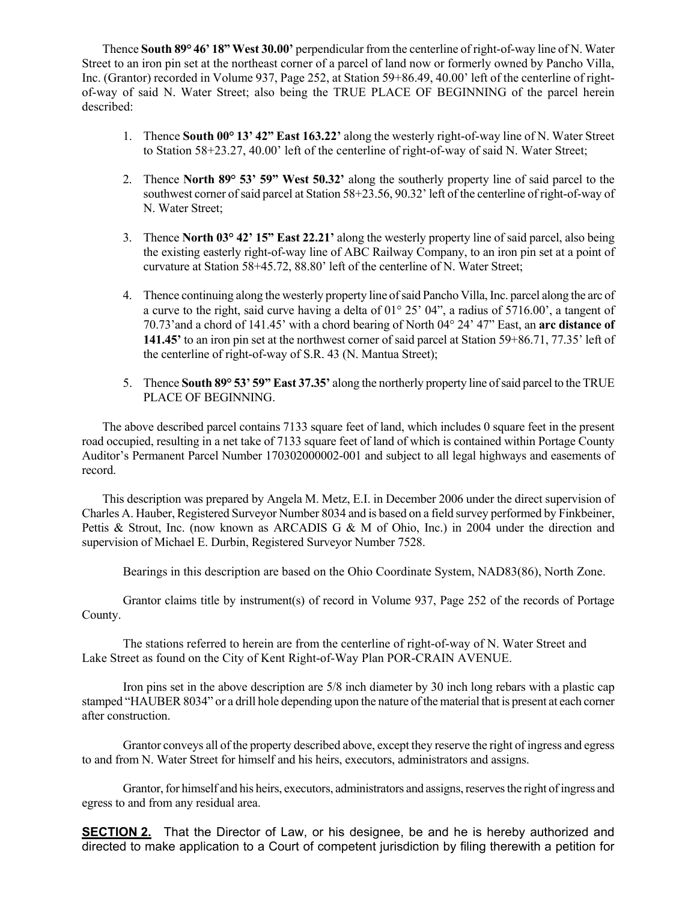Thence **South 89° 46' 18" West 30.00'** perpendicular from the centerline of right-of-way line of N. Water Street to an iron pin set at the northeast corner of a parcel of land now or formerly owned by Pancho Villa, Inc. (Grantor) recorded in Volume 937, Page 252, at Station 59+86.49, 40.00' left of the centerline of rightof-way of said N. Water Street; also being the TRUE PLACE OF BEGINNING of the parcel herein described:

- 1. Thence **South 00° 13' 42" East 163.22'** along the westerly right-of-way line of N. Water Street to Station 58+23.27, 40.00' left of the centerline of right-of-way of said N. Water Street;
- 2. Thence **North 89° 53' 59" West 50.32'** along the southerly property line of said parcel to the southwest corner of said parcel at Station 58+23.56, 90.32' left of the centerline of right-of-way of N. Water Street;
- 3. Thence **North 03° 42' 15" East 22.21'** along the westerly property line of said parcel, also being the existing easterly right-of-way line of ABC Railway Company, to an iron pin set at a point of curvature at Station 58+45.72, 88.80' left of the centerline of N. Water Street;
- 4. Thence continuing along the westerly property line of said Pancho Villa, Inc. parcel along the arc of a curve to the right, said curve having a delta of 01° 25' 04", a radius of 5716.00', a tangent of 70.73'and a chord of 141.45' with a chord bearing of North 04° 24' 47" East, an **arc distance of 141.45'** to an iron pin set at the northwest corner of said parcel at Station 59+86.71, 77.35' left of the centerline of right-of-way of S.R. 43 (N. Mantua Street);
- 5. Thence **South 89° 53' 59" East 37.35'** along the northerly property line of said parcel to the TRUE PLACE OF BEGINNING.

 The above described parcel contains 7133 square feet of land, which includes 0 square feet in the present road occupied, resulting in a net take of 7133 square feet of land of which is contained within Portage County Auditor's Permanent Parcel Number 170302000002-001 and subject to all legal highways and easements of record.

 This description was prepared by Angela M. Metz, E.I. in December 2006 under the direct supervision of Charles A. Hauber, Registered Surveyor Number 8034 and is based on a field survey performed by Finkbeiner, Pettis & Strout, Inc. (now known as ARCADIS G & M of Ohio, Inc.) in 2004 under the direction and supervision of Michael E. Durbin, Registered Surveyor Number 7528.

Bearings in this description are based on the Ohio Coordinate System, NAD83(86), North Zone.

 Grantor claims title by instrument(s) of record in Volume 937, Page 252 of the records of Portage County.

 The stations referred to herein are from the centerline of right-of-way of N. Water Street and Lake Street as found on the City of Kent Right-of-Way Plan POR-CRAIN AVENUE.

 Iron pins set in the above description are 5/8 inch diameter by 30 inch long rebars with a plastic cap stamped "HAUBER 8034" or a drill hole depending upon the nature of the material that is present at each corner after construction.

 Grantor conveys all of the property described above, except they reserve the right of ingress and egress to and from N. Water Street for himself and his heirs, executors, administrators and assigns.

 Grantor, for himself and his heirs, executors, administrators and assigns, reserves the right of ingress and egress to and from any residual area.

**SECTION 2.** That the Director of Law, or his designee, be and he is hereby authorized and directed to make application to a Court of competent jurisdiction by filing therewith a petition for